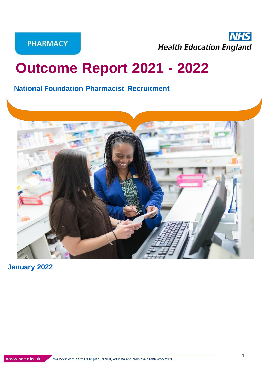**PHARMACY** 

**NHS Health Education England** 

# **Outcome Report 2021 - 2022**

# **National Foundation Pharmacist Recruitment**



**January 2022**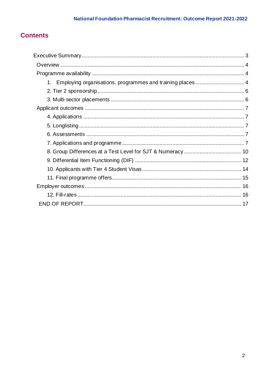# **Contents**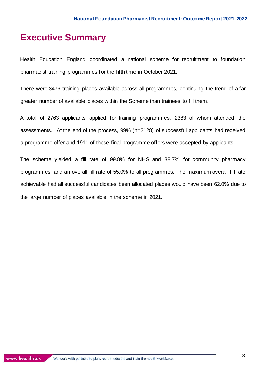# <span id="page-2-0"></span>**Executive Summary**

Health Education England coordinated a national scheme for recruitment to foundation pharmacist training programmes for the fifth time in October 2021.

There were 3476 training places available across all programmes, continuing the trend of a far greater number of available places within the Scheme than trainees to fill them.

A total of 2763 applicants applied for training programmes, 2383 of whom attended the assessments. At the end of the process, 99% (n=2128) of successful applicants had received a programme offer and 1911 of these final programme offers were accepted by applicants.

The scheme yielded a fill rate of 99.8% for NHS and 38.7% for community pharmacy programmes, and an overall fill rate of 55.0% to all programmes. The maximum overall fill rate achievable had all successful candidates been allocated places would have been 62.0% due to the large number of places available in the scheme in 2021.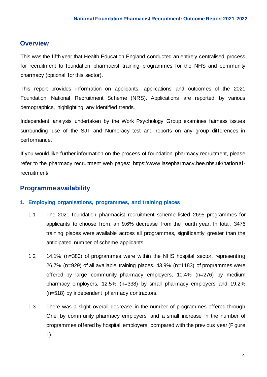# <span id="page-3-0"></span>**Overview**

This was the fifth year that Health Education England conducted an entirely centralised process for recruitment to foundation pharmacist training programmes for the NHS and community pharmacy (optional for this sector).

This report provides information on applicants, applications and outcomes of the 2021 Foundation National Recruitment Scheme (NRS). Applications are reported by various demographics, highlighting any identified trends.

Independent analysis undertaken by the Work Psychology Group examines fairness issues surrounding use of the SJT and Numeracy test and reports on any group differences in performance.

If you would like further information on the process of foundation pharmacy recruitment, please refer to the pharmacy recruitment web pages: [https://www.lasepharmacy.hee.nhs.uk/national](https://www.hee.nhs.uk/our-work/pharmacy/pre-registration-pharmacist-training-general-practice)[recruitment/](https://www.hee.nhs.uk/our-work/pharmacy/pre-registration-pharmacist-training-general-practice)

# <span id="page-3-1"></span>**Programme availability**

#### <span id="page-3-2"></span>**1. Employing organisations, programmes, and training places**

- 1.1 The 2021 foundation pharmacist recruitment scheme listed 2695 programmes for applicants to choose from, an 9.6% decrease from the fourth year. In total, 3476 training places were available across all programmes, significantly greater than the anticipated number of scheme applicants.
- 1.2 14.1% (n=380) of programmes were within the NHS hospital sector, representing 26.7% (n=929) of all available training places. 43.9% (n=1183) of programmes were offered by large community pharmacy employers, 10.4% (n=276) by medium pharmacy employers, 12.5% (n=338) by small pharmacy employers and 19.2% (n=518) by independent pharmacy contractors.
- 1.3 There was a slight overall decrease in the number of programmes offered through Oriel by community pharmacy employers, and a small increase in the number of programmes offered by hospital employers, compared with the previous year (Figure 1).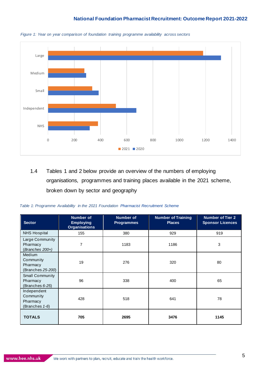

*Figure 1: Year on year comparison of foundation training programme availability across sectors*

1.4 Tables 1 and 2 below provide an overview of the numbers of employing organisations, programmes and training places available in the 2021 scheme, broken down by sector and geography

| <b>Sector</b>                                               | <b>Number of</b><br><b>Employing</b><br><b>Organisations</b> | <b>Number of</b><br><b>Programmes</b> | <b>Number of Training</b><br><b>Places</b> | <b>Number of Tier 2</b><br><b>Sponsor Licences</b> |
|-------------------------------------------------------------|--------------------------------------------------------------|---------------------------------------|--------------------------------------------|----------------------------------------------------|
| <b>NHS Hospital</b>                                         | 155                                                          | 380                                   | 929                                        | 919                                                |
| Large Community<br>Pharmacy<br>(Branches 200+)              | 7                                                            | 1183                                  | 1186                                       | 3                                                  |
| <b>Medium</b><br>Community<br>Pharmacy<br>(Branches 25-200) | 19                                                           | 276                                   | 320                                        | 80                                                 |
| Small Community<br>Pharmacy<br>(Branches 6-25)              | 96                                                           | 338                                   | 400                                        | 65                                                 |
| Independent<br>Community<br>Pharmacy<br>(Branches 1-6)      | 428                                                          | 518                                   | 641                                        | 78                                                 |
| <b>TOTALS</b>                                               | 705                                                          | 2695                                  | 3476                                       | 1145                                               |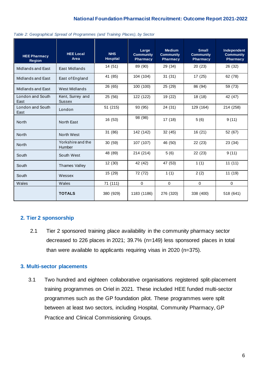| <b>HEE Pharmacy</b><br><b>Region</b> | <b>HEE Local</b><br>Area           | <b>NHS</b><br>Hospital | Large<br><b>Community</b><br><b>Pharmacy</b> | <b>Medium</b><br><b>Community</b><br><b>Pharmacy</b> | <b>Small</b><br><b>Community</b><br>Pharmacy | Independent<br><b>Community</b><br>Pharmacy |
|--------------------------------------|------------------------------------|------------------------|----------------------------------------------|------------------------------------------------------|----------------------------------------------|---------------------------------------------|
| Midlands and East                    | East Midlands                      | 14(51)                 | 89 (90)                                      | 29 (34)                                              | 20(23)                                       | 26 (32)                                     |
| Midlands and East                    | East of England                    | 41 (85)                | 104 (104)                                    | 31(31)                                               | 17 (25)                                      | 62 (78)                                     |
| Midlands and East                    | West Midlands                      | 26 (65)                | 100 (100)                                    | 25 (29)                                              | 86 (94)                                      | 59 (73)                                     |
| London and South<br>East             | Kent, Surrey and<br><b>Sussex</b>  | 25 (56)                | 122 (122)                                    | 19 (22)                                              | 18 (18)                                      | 42 (47)                                     |
| London and South<br>East             | London                             | 51 (215)               | 93 (95)                                      | 24 (31)                                              | 129 (164)                                    | 214 (258)                                   |
| <b>North</b>                         | <b>North East</b>                  | 16 (53)                | 98 (98)                                      | 17(18)                                               | 5(6)                                         | 9(11)                                       |
| <b>North</b>                         | North West                         | 31 (86)                | 142 (142)                                    | 32 (45)                                              | 16 (21)                                      | 52 (67)                                     |
| <b>North</b>                         | Yorkshire and the<br><b>Humber</b> | 30(59)                 | 107 (107)                                    | 46 (50)                                              | 22 (23)                                      | 23 (34)                                     |
| South                                | South West                         | 48 (89)                | 214 (214)                                    | 5(6)                                                 | 22(23)                                       | 9(11)                                       |
| South                                | <b>Thames Valley</b>               | 12 (30)                | 42 (42)                                      | 47 (53)                                              | 1(1)                                         | 11(11)                                      |
| South                                | Wessex                             | 15 (29)                | 72 (72)                                      | 1(1)                                                 | 2(2)                                         | 11 (19)                                     |
| Wales                                | Wales                              | 71 (111)               | $\Omega$                                     | $\Omega$                                             | $\Omega$                                     | $\Omega$                                    |
|                                      | <b>TOTALS</b>                      | 380 (929)              | 1183 (1186)                                  | 276 (320)                                            | 338 (400)                                    | 518 (641)                                   |

| Table 2: Geographical Spread of Programmes (and Training Places), by Sector |  |  |  |
|-----------------------------------------------------------------------------|--|--|--|
|                                                                             |  |  |  |
|                                                                             |  |  |  |
|                                                                             |  |  |  |

#### <span id="page-5-0"></span>**2. Tier 2 sponsorship**

2.1 Tier 2 sponsored training place availability in the community pharmacy sector decreased to 226 places in 2021; 39.7% (n=149) less sponsored places in total than were available to applicants requiring visas in 2020 (n=375).

### <span id="page-5-1"></span>**3. Multi-sector placements**

3.1 Two hundred and eighteen collaborative organisations registered split-placement training programmes on Oriel in 2021. These included HEE funded multi-sector programmes such as the [GP foundation](https://www.hee.nhs.uk/our-work/pharmacy/pre-registration-pharmacist-training-general-practice) pilot. These programmes were split between at least two sectors, including Hospital, Community Pharmacy, GP Practice and Clinical Commissioning Groups.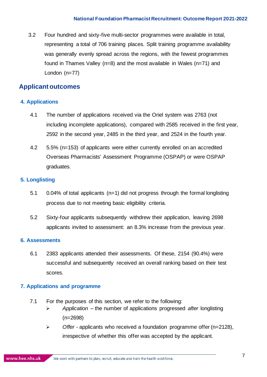3.2 Four hundred and sixty-five multi-sector programmes were available in total, representing a total of 706 training places. Split training programme availability was generally evenly spread across the regions, with the fewest programmes found in Thames Valley (n=8) and the most available in Wales (n=71) and London (n=77)

# <span id="page-6-0"></span>**Applicant outcomes**

#### <span id="page-6-1"></span>**4. Applications**

- 4.1 The number of applications received via the Oriel system was 2763 (not including incomplete applications), compared with 2585 received in the first year, 2592 in the second year, 2485 in the third year, and 2524 in the fourth year.
- 4.2 5.5% (n=153) of applicants were either currently enrolled on an accredited Overseas Pharmacists' Assessment Programme (OSPAP) or were OSPAP graduates.

#### <span id="page-6-2"></span>**5. Longlisting**

- 5.1 0.04% of total applicants (n=1) did not progress through the formal longlisting process due to not meeting basic eligibility criteria.
- 5.2 Sixty-four applicants subsequently withdrew their application, leaving 2698 applicants invited to assessment: an 8.3% increase from the previous year.

#### <span id="page-6-3"></span>**6. Assessments**

6.1 2383 applicants attended their assessments. Of these, 2154 (90.4%) were successful and subsequently received an overall ranking based on their test scores.

#### <span id="page-6-4"></span>**7. Applications and programme**

- 7.1 For the purposes of this section, we refer to the following:
	- ➢ *Application –* the number of applications progressed *after* longlisting (n=2698)
	- ➢ *Offer -* applicants who received a foundation programme offer (n=2128), irrespective of whether this offer was accepted by the applicant.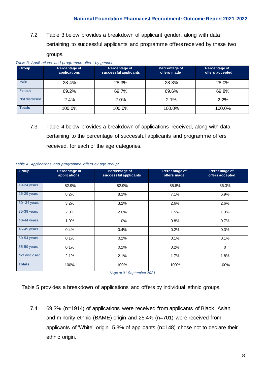7.2 Table 3 below provides a breakdown of applicant gender, along with data pertaining to successful applicants and programme offers received by these two groups.

| Table 3: Applications and programme offers by gender |                               |                                        |                              |                                  |  |
|------------------------------------------------------|-------------------------------|----------------------------------------|------------------------------|----------------------------------|--|
| <b>Group</b>                                         | Percentage of<br>applications | Percentage of<br>successful applicants | Percentage of<br>offers made | Percentage of<br>offers accepted |  |
| Male                                                 | 28.4%                         | 28.3%                                  | 28.3%                        | 28.0%                            |  |
| Female                                               | 69.2%                         | 69.7%                                  | 69.6%                        | 69.8%                            |  |
| Not disclosed                                        | 2.4%                          | 2.0%                                   | 2.1%                         | 2.2%                             |  |
| <b>Totals</b>                                        | 100.0%                        | 100.0%                                 | 100.0%                       | 100.0%                           |  |

7.3 Table 4 below provides a breakdown of applications received, along with data pertaining to the percentage of successful applicants and programme offers received, for each of the age categories.

| Group           | Percentage of<br>applications | Percentage of<br>successful applicants | Percentage of<br>offers made | Percentage of<br>offers accepted |
|-----------------|-------------------------------|----------------------------------------|------------------------------|----------------------------------|
| 19-24 years     | 82.9%                         | 82.9%                                  | 85.8%                        | 86.3%                            |
| 25-29 years     | 8.2%                          | 8.2%                                   | 7.1%                         | 6.9%                             |
| $30 - 34$ years | 3.2%                          | 3.2%                                   | 2.6%                         | 2.6%                             |
| 35-39 years     | 2.0%                          | 2.0%                                   | 1.5%                         | 1.3%                             |
| 40-44 years     | 1.0%                          | 1.0%                                   | 0.8%                         | 0.7%                             |
| 45-49 years     | 0.4%                          | 0.4%                                   | 0.2%                         | 0.3%                             |
| 50-54 years     | 0.1%                          | 0.1%                                   | 0.1%                         | 0.1%                             |
| 55-59 years     | 0.1%                          | 0.1%                                   | 0.2%                         | $\mathbf 0$                      |
| Not disclosed   | 2.1%                          | 2.1%                                   | 1.7%                         | 1.8%                             |
| <b>Totals</b>   | 100%                          | 100%                                   | 100%                         | 100%                             |

#### *Table 4: Applications and programme offers by age group\**

\**Age at 01 September 2021*

Table 5 provides a breakdown of applications and offers by individual ethnic groups.

7.4 69.3% (n=1914) of applications were received from applicants of Black, Asian and minority ethnic (BAME) origin and 25.4% (n=701) were received from applicants of 'White' origin. 5.3% of applicants (n=148) chose not to declare their ethnic origin.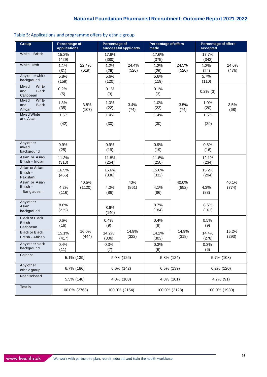## Table 5: Applications and programme offers by ethnic group

| Group                                              | <b>Percentage of</b><br>applications |                 | Percentage of                 | successful applicants | <b>Percentage of offers</b><br>made |                | <b>Percentage of offers</b><br>accepted |                |
|----------------------------------------------------|--------------------------------------|-----------------|-------------------------------|-----------------------|-------------------------------------|----------------|-----------------------------------------|----------------|
| White - British                                    | $15.\overline{2\%}$                  |                 | $17.\overline{6\%}$           |                       | 17.6%                               |                | 17.7%                                   |                |
| White - Irish<br>Any other white                   | (429)<br>1.1%<br>(31)<br>5.8%        | 22.4%<br>(619)  | (380)<br>1.2%<br>(26)<br>5.6% | 24.4%<br>(526)        | (375)<br>1.2%<br>(26)<br>5.6%       | 24.5%<br>(520) | (342)<br>1.2%<br>(24)<br>5.7%           | 24.6%<br>(476) |
| background                                         | (159)                                |                 | (120)                         |                       | (119)                               |                | (110)                                   |                |
| White<br>Mixed<br>and<br><b>Black</b><br>Caribbean | 0.2%<br>(5)                          |                 | 0.1%<br>(3)                   |                       | 0.1%<br>(3)                         |                | $0.2\%$ (3)                             |                |
| White<br>Mixed<br><b>Black</b><br>and<br>African   | 1.3%<br>(35)                         | 3.8%<br>(107)   | 1.0%<br>(22)                  | 3.4%<br>(74)          | 1.0%<br>(22)                        | 3.5%<br>(74)   | 1.0%<br>(20)                            | 3.5%<br>(68)   |
| Mixed White<br>and Asian                           | 1.5%                                 |                 | 1.4%                          |                       | 1.4%                                |                | 1.5%                                    |                |
|                                                    | (42)                                 |                 | (30)                          |                       | (30)                                |                | (29)                                    |                |
|                                                    |                                      |                 |                               |                       |                                     |                |                                         |                |
| Any other<br>mixed<br>background                   | 0.9%<br>(25)                         |                 | 0.9%<br>(19)                  |                       | 0.9%<br>(19)                        |                | 0.8%<br>(16)                            |                |
| Asian or Asian<br>British - Indian                 | 11.3%<br>(313)                       |                 | 11.8%<br>(254)                |                       | 11.8%<br>(250)                      |                | 12.1%<br>(234)                          |                |
| Asian or Asian<br>British -<br>Pakistani           | 16.5%<br>(456)                       |                 | 15.6%<br>(336)                |                       | 15.6%<br>(332)                      |                | 15.2%<br>(294)                          |                |
| Asian or Asian<br>British $-$<br>Bangladeshi       | 4.2%<br>(116)                        | 40.5%<br>(1120) | 4.0%<br>(86)                  | 40%<br>(861)          | 4.1%<br>(86)                        | 40.0%<br>(852) | 4.3%<br>(83)                            | 40.1%<br>(774) |
| Any other<br>Asian<br>background                   | 8.6%<br>(235)                        |                 | 8.6%<br>(140)                 |                       | 8.7%<br>(184)                       |                | 8.5%<br>(163)                           |                |
| <b>Black or Black</b><br>British -<br>Caribbean    | 0.6%<br>(16)                         |                 | 0.4%<br>(9)                   |                       | 0.4%<br>(9)                         |                | 0.5%<br>(9)                             |                |
| <b>Black or Black</b><br>British - African         | 15.1%<br>(417)                       | 16.0%<br>(444)  | 14.2%<br>(306)                | 14.9%<br>(322)        | 14.2%<br>(303)                      | 14.9%<br>(318) | 14.4%<br>(278)                          | 15.2%<br>(293) |
| Any other black<br>background                      | 0.4%<br>(11)                         |                 | 0.3%<br>(7)                   |                       | 0.3%<br>(6)                         |                | 0.3%<br>(6)                             |                |
| Chinese                                            |                                      | 5.1% (139)      |                               | 5.9% (126)            | 5.8% (124)                          |                |                                         | 5.7% (108)     |
| Any other<br>ethnic group                          |                                      | 6.7% (186)      |                               | 6.6% (142)            |                                     | 6.5% (139)     |                                         | 6.2% (120)     |
| Not disclosed                                      |                                      | 5.5% (148)      |                               | 4.8% (103)            |                                     | 4.8% (101)     |                                         | 4.7% (91)      |
| <b>Totals</b>                                      |                                      | 100.0% (2763)   |                               | 100.0% (2154)         | 100.0% (2128)                       |                |                                         | 100.0% (1930)  |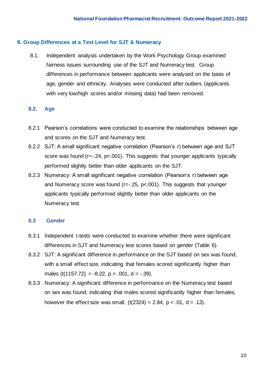#### <span id="page-9-0"></span>**8. Group Differences at a Test Level for SJT & Numeracy**

8.1. Independent analysis undertaken by the Work Psychology Group examined fairness issues surrounding use of the SJT and Numeracy test. Group differences in performance between applicants were analysed on the basis of age, gender and ethnicity. Analyses were conducted after outliers (applicants with very low/high scores and/or missing data) had been removed.

#### **8.2. Age**

- 8.2.1 Pearson's correlations were conducted to examine the relationships between age and scores on the SJT and Numeracy test.
- 8.2.2 SJT: A small significant negative correlation (Pearson's r) between age and SJT score was found (r=-.24, p<.001). This suggests that younger applicants typically performed slightly better than older applicants on the SJT.
- 8.2.3 Numeracy: A small significant negative correlation (Pearson's r) between age and Numeracy score was found ( $r=-.25$ ,  $p<-.001$ ). This suggests that younger applicants typically performed slightly better than older applicants on the Numeracy test.

#### **8.3 Gender**

- 8.3.1 Independent t-tests were conducted to examine whether there were significant differences in SJT and Numeracy test scores based on gender (Table 6).
- 8.3.2 SJT: A significant difference in performance on the SJT based on sex was found, with a small effect size, indicating that females scored significantly higher than males (t(1157.72) = -8.22,  $p < .001$ , d = -.39).
- 8.3.3 Numeracy: A significant difference in performance on the Numeracy test based on sex was found, indicating that males scored significantly higher than females, however the effect size was small,  $(t(2324) = 2.84, p < .01, d = .13)$ .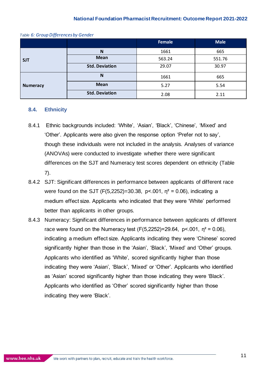|                 |                       | Female | <b>Male</b> |
|-----------------|-----------------------|--------|-------------|
|                 | N                     | 1661   | 665         |
| <b>SJT</b>      | <b>Mean</b>           | 563.24 | 551.76      |
|                 | <b>Std. Deviation</b> | 29.07  | 30.97       |
|                 | N                     | 1661   | 665         |
| <b>Numeracy</b> | <b>Mean</b>           | 5.27   | 5.54        |
|                 | <b>Std. Deviation</b> | 2.08   | 2.11        |

#### *Table 6: Group Differences by Gender*

#### **8.4. Ethnicity**

- 8.4.1 Ethnic backgrounds included: 'White', 'Asian', 'Black', 'Chinese', 'Mixed' and 'Other'. Applicants were also given the response option 'Prefer not to say', though these individuals were not included in the analysis. Analyses of variance (ANOVAs) were conducted to investigate whether there were significant differences on the SJT and Numeracy test scores dependent on ethnicity (Table 7).
- 8.4.2 SJT: Significant differences in performance between applicants of different race were found on the SJT (F(5,2252)=30.38, p<.001,  $n^2 = 0.06$ ), indicating a medium effect size. Applicants who indicated that they were 'White' performed better than applicants in other groups.
- 8.4.3 Numeracy: Significant differences in performance between applicants of different race were found on the Numeracy test  $(F(5, 2252)=29.64, p<.001, n^2 = 0.06)$ , indicating a medium effect size. Applicants indicating they were 'Chinese' scored significantly higher than those in the 'Asian', 'Black', 'Mixed' and 'Other' groups. Applicants who identified as 'White', scored significantly higher than those indicating they were 'Asian', 'Black', 'Mixed' or 'Other'. Applicants who identified as 'Asian' scored significantly higher than those indicating they were 'Black'. Applicants who identified as 'Other' scored significantly higher than those indicating they were 'Black'.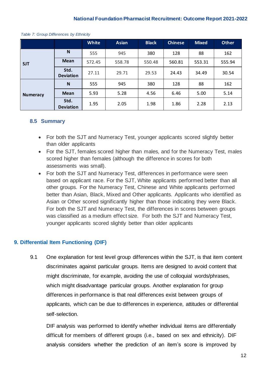|                 |                          | <b>White</b> | <b>Asian</b> | <b>Black</b> | <b>Chinese</b> | <b>Mixed</b> | <b>Other</b> |
|-----------------|--------------------------|--------------|--------------|--------------|----------------|--------------|--------------|
| <b>SJT</b>      | N                        | 555          | 945          | 380          | 128            | 88           | 162          |
|                 | Mean                     | 572.45       | 558.78       | 550.48       | 560.81         | 553.31       | 555.94       |
|                 | Std.<br><b>Deviation</b> | 27.11        | 29.71        | 29.53        | 24.43          | 34.49        | 30.54        |
|                 | N                        | 555          | 945          | 380          | 128            | 88           | 162          |
| <b>Numeracy</b> | <b>Mean</b>              | 5.93         | 5.28         | 4.56         | 6.46           | 5.00         | 5.14         |
|                 | Std.<br><b>Deviation</b> | 1.95         | 2.05         | 1.98         | 1.86           | 2.28         | 2.13         |

 *Table 7: Group Differences by Ethnicity*

#### **8.5 Summary**

- For both the SJT and Numeracy Test, younger applicants scored slightly better than older applicants
- For the SJT, females scored higher than males, and for the Numeracy Test, males scored higher than females (although the difference in scores for both assessments was small).
- For both the SJT and Numeracy Test, differences in performance were seen based on applicant race. For the SJT, White applicants performed better than all other groups. For the Numeracy Test, Chinese and White applicants performed better than Asian, Black, Mixed and Other applicants. Applicants who identified as Asian or Other scored significantly higher than those indicating they were Black. For both the SJT and Numeracy Test, the differences in scores between groups was classified as a medium effect size. For both the SJT and Numeracy Test, younger applicants scored slightly better than older applicants

# <span id="page-11-0"></span>**9. Differential Item Functioning (DIF)**

9.1 One explanation for test level group differences within the SJT, is that item content discriminates against particular groups. Items are designed to avoid content that might discriminate, for example, avoiding the use of colloquial words/phrases, which might disadvantage particular groups. Another explanation for group differences in performance is that real differences exist between groups of applicants, which can be due to differences in experience, attitudes or differential self-selection.

DIF analysis was performed to identify whether individual items are differentially difficult for members of different groups (i.e., based on sex and ethnicity). DIF analysis considers whether the prediction of an item's score is improved by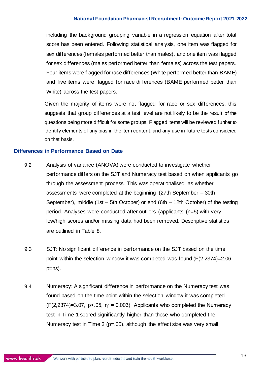including the background grouping variable in a regression equation after total score has been entered. Following statistical analysis, one item was flagged for sex differences (females performed better than males), and one item was flagged for sex differences (males performed better than females) across the test papers. Four items were flagged for race differences (White performed better than BAME) and five items were flagged for race differences (BAME performed better than White) across the test papers.

Given the majority of items were not flagged for race or sex differences, this suggests that group differences at a test level are not likely to be the result of the questions being more difficult for some groups. Flagged items will be reviewed further to identify elements of any bias in the item content, and any use in future tests considered on that basis.

#### **Differences in Performance Based on Date**

- 9.2 Analysis of variance (ANOVA) were conducted to investigate whether performance differs on the SJT and Numeracy test based on when applicants go through the assessment process. This was operationalised as whether assessments were completed at the beginning (27th September – 30th September), middle (1st – 5th October) or end (6th – 12th October) of the testing period. Analyses were conducted after outliers (applicants (n=5) with very low/high scores and/or missing data had been removed. Descriptive statistics are outlined in Table 8.
- 9.3 SJT: No significant difference in performance on the SJT based on the time point within the selection window it was completed was found (F(2,2374)=2.06, p=ns).
- 9.4 Numeracy: A significant difference in performance on the Numeracy test was found based on the time point within the selection window it was completed  $(F(2,2374)=3.07, p<.05, n^2=0.003)$ . Applicants who completed the Numeracy test in Time 1 scored significantly higher than those who completed the Numeracy test in Time 3 (p=.05), although the effect size was very small.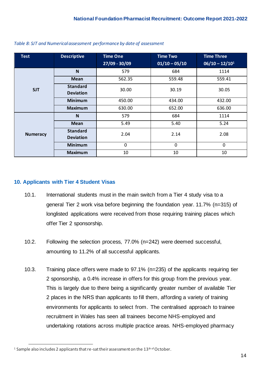| <b>Test</b>     | <b>Descriptive</b>                  | <b>Time One</b><br>$27/09 - 30/09$ | <b>Time Two</b><br>$01/10 - 05/10$ | <b>Time Three</b><br>$06/10 - 12/101$ |
|-----------------|-------------------------------------|------------------------------------|------------------------------------|---------------------------------------|
|                 | N                                   | 579                                | 684                                | 1114                                  |
|                 | <b>Mean</b>                         | 562.35                             | 559.48                             | 559.41                                |
| <b>SJT</b>      | <b>Standard</b><br><b>Deviation</b> | 30.00                              | 30.19                              | 30.05                                 |
|                 | <b>Minimum</b>                      | 450.00                             | 434.00                             | 432.00                                |
|                 | <b>Maximum</b>                      | 630.00                             | 652.00                             | 636.00                                |
|                 | N                                   | 579                                | 684                                | 1114                                  |
|                 | <b>Mean</b>                         | 5.49                               | 5.40                               | 5.24                                  |
| <b>Numeracy</b> | <b>Standard</b><br><b>Deviation</b> | 2.04<br>2.14                       |                                    | 2.08                                  |
|                 | <b>Minimum</b>                      | 0                                  | $\mathbf 0$                        | 0                                     |
|                 | <b>Maximum</b>                      | 10                                 | 10                                 | 10                                    |

*Table 8: SJT and Numerical assessment performance by date of assessment*

#### <span id="page-13-0"></span>**10. Applicants with Tier 4 Student Visas**

- 10.1. International students must in the main switch from a Tier 4 study visa to a general Tier 2 work visa before beginning the foundation year. 11.7% (n=315) of longlisted applications were received from those requiring training places which offer Tier 2 sponsorship.
- 10.2. Following the selection process, 77.0% (n=242) were deemed successful, amounting to 11.2% of all successful applicants.
- 10.3. Training place offers were made to 97.1% (n=235) of the applicants requiring tier 2 sponsorship, a 0.4% increase in offers for this group from the previous year. This is largely due to there being a significantly greater number of available Tier 2 places in the NRS than applicants to fill them, affording a variety of training environments for applicants to select from. The centralised approach to trainee recruitment in Wales has seen all trainees become NHS-employed and undertaking rotations across multiple practice areas. NHS-employed pharmacy

<sup>&</sup>lt;sup>1</sup> Sample also includes 2 applicants that re-sat their assessment on the  $13<sup>th of</sup> October.$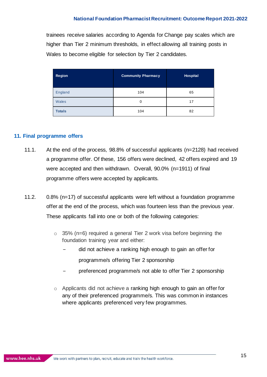trainees receive salaries according to Agenda for Change pay scales which are higher than Tier 2 minimum thresholds, in effect allowing all training posts in Wales to become eligible for selection by Tier 2 candidates.

| <b>Region</b> | <b>Community Pharmacy</b> | Hospital |
|---------------|---------------------------|----------|
| England       | 104                       | 65       |
| <b>Wales</b>  | 0                         | 17       |
| <b>Totals</b> | 104                       | 82       |

#### <span id="page-14-0"></span>**11. Final programme offers**

- 11.1. At the end of the process, 98.8% of successful applicants (n=2128) had received a programme offer. Of these, 156 offers were declined, 42 offers expired and 19 were accepted and then withdrawn. Overall, 90.0% (n=1911) of final programme offers were accepted by applicants.
- 11.2. 0.8% (n=17) of successful applicants were left without a foundation programme offer at the end of the process, which was fourteen less than the previous year. These applicants fall into one or both of the following categories:
	- $\circ$  35% (n=6) required a general Tier 2 work visa before beginning the foundation training year and either:
		- − did not achieve a ranking high enough to gain an offer for
			- programme/s offering Tier 2 sponsorship
		- preferenced programme/s not able to offer Tier 2 sponsorship
	- o Applicants did not achieve a ranking high enough to gain an offer for any of their preferenced programme/s. This was common in instances where applicants preferenced very few programmes.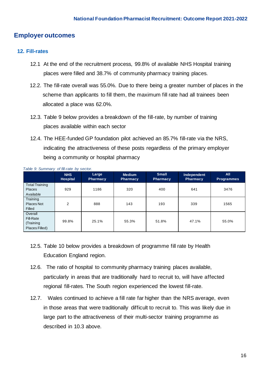# <span id="page-15-0"></span>**Employer outcomes**

#### <span id="page-15-1"></span>**12. Fill-rates**

- 12.1 At the end of the recruitment process, 99.8% of available NHS Hospital training places were filled and 38.7% of community pharmacy training places.
- 12.2. The fill-rate overall was 55.0%. Due to there being a greater number of places in the scheme than applicants to fill them, the maximum fill rate had all trainees been allocated a place was 62.0%.
- 12.3. Table 9 below provides a breakdown of the fill-rate, by number of training places available within each sector
- 12.4. The HEE-funded GP foundation pilot achieved an 85.7% fill-rate via the NRS, indicating the attractiveness of these posts regardless of the primary employer being a community or hospital pharmacy

|                                                     | <b>NHS</b><br>Hospital | Large<br><b>Pharmacy</b> | <b>Medium</b><br><b>Pharmacy</b> | <b>Small</b><br><b>Pharmacy</b> | Independent<br><b>Pharmacy</b> | <b>All</b><br><b>Programmes</b> |
|-----------------------------------------------------|------------------------|--------------------------|----------------------------------|---------------------------------|--------------------------------|---------------------------------|
| <b>Total Training</b><br><b>Places</b><br>Available | 929                    | 1186                     | 320                              | 400                             | 641                            | 3476                            |
| Training<br>Places Not<br>Filled                    | $\overline{2}$         | 888                      | 143                              | 193                             | 339                            | 1565                            |
| Overall<br>Fill-Rate<br>(Training<br>Places Filled) | 99.8%                  | 25.1%                    | 55.3%                            | 51.8%                           | 47.1%                          | 55.0%                           |

 *Table 9: Summary of fill-rate by sector.* 

- 12.5. Table 10 below provides a breakdown of programme fill rate by Health Education England region.
- 12.6. The ratio of hospital to community pharmacy training places available, particularly in areas that are traditionally hard to recruit to, will have affected regional fill-rates. The South region experienced the lowest fill-rate.
- 12.7. Wales continued to achieve a fill rate far higher than the NRS average, even in those areas that were traditionally difficult to recruit to. This was likely due in large part to the attractiveness of their multi-sector training programme as described in 10.3 above.